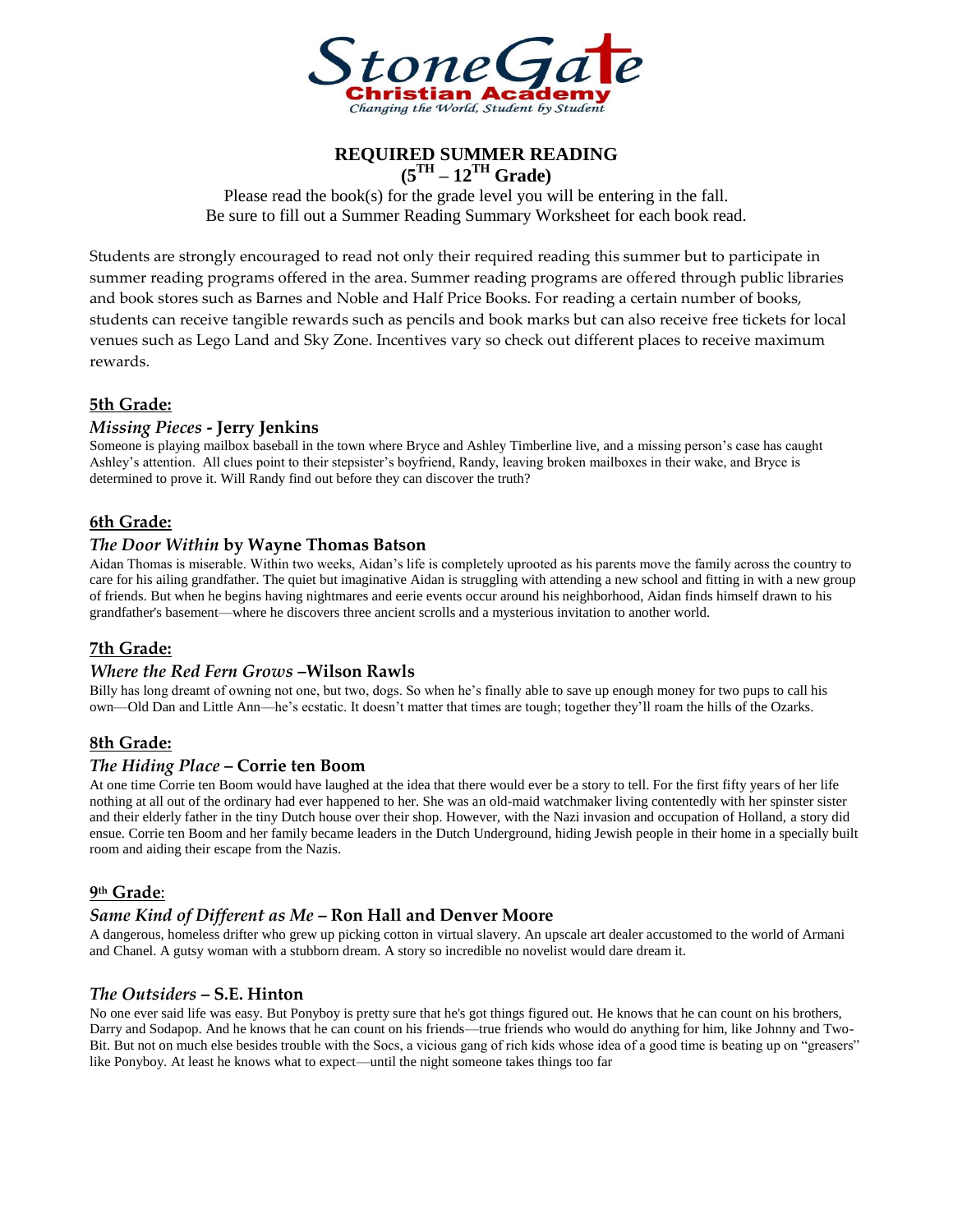

**REQUIRED SUMMER READING (5TH – 12TH Grade)**

Please read the book(s) for the grade level you will be entering in the fall. Be sure to fill out a Summer Reading Summary Worksheet for each book read.

Students are strongly encouraged to read not only their required reading this summer but to participate in summer reading programs offered in the area. Summer reading programs are offered through public libraries and book stores such as Barnes and Noble and Half Price Books. For reading a certain number of books, students can receive tangible rewards such as pencils and book marks but can also receive free tickets for local venues such as Lego Land and Sky Zone. Incentives vary so check out different places to receive maximum rewards.

# **5th Grade:**

### *Missing Pieces* **- Jerry Jenkins**

Someone is playing mailbox baseball in the town where Bryce and Ashley Timberline live, and a missing person's case has caught Ashley's attention. All clues point to their stepsister's boyfriend, Randy, leaving broken mailboxes in their wake, and Bryce is determined to prove it. Will Randy find out before they can discover the truth?

## **6th Grade:**

### *The Door Within* **by Wayne Thomas Batson**

Aidan Thomas is miserable. Within two weeks, Aidan's life is completely uprooted as his parents move the family across the country to care for his ailing grandfather. The quiet but imaginative Aidan is struggling with attending a new school and fitting in with a new group of friends. But when he begins having nightmares and eerie events occur around his neighborhood, Aidan finds himself drawn to his grandfather's basement—where he discovers three ancient scrolls and a mysterious invitation to another world.

## **7th Grade:**

#### *Where the Red Fern Grows* **–Wilson Rawls**

Billy has long dreamt of owning not one, but two, dogs. So when he's finally able to save up enough money for two pups to call his own—Old Dan and Little Ann—he's ecstatic. It doesn't matter that times are tough; together they'll roam the hills of the Ozarks.

## **8th Grade:**

## *The Hiding Place* **– Corrie ten Boom**

At one time Corrie ten Boom would have laughed at the idea that there would ever be a story to tell. For the first fifty years of her life nothing at all out of the ordinary had ever happened to her. She was an old-maid watchmaker living contentedly with her spinster sister and their elderly father in the tiny Dutch house over their shop. However, with the Nazi invasion and occupation of Holland, a story did ensue. Corrie ten Boom and her family became leaders in the Dutch Underground, hiding Jewish people in their home in a specially built room and aiding their escape from the Nazis.

# **9 th Grade**:

## *Same Kind of Different as Me* **– Ron Hall and Denver Moore**

A dangerous, homeless drifter who grew up picking cotton in virtual slavery. An upscale art dealer accustomed to the world of Armani and Chanel. A gutsy woman with a stubborn dream. A story so incredible no novelist would dare dream it.

#### *The Outsiders* **– S.E. Hinton**

No one ever said life was easy. But Ponyboy is pretty sure that he's got things figured out. He knows that he can count on his brothers, Darry and Sodapop. And he knows that he can count on his friends—true friends who would do anything for him, like Johnny and Two-Bit. But not on much else besides trouble with the Socs, a vicious gang of rich kids whose idea of a good time is beating up on "greasers" like Ponyboy. At least he knows what to expect—until the night someone takes things too far